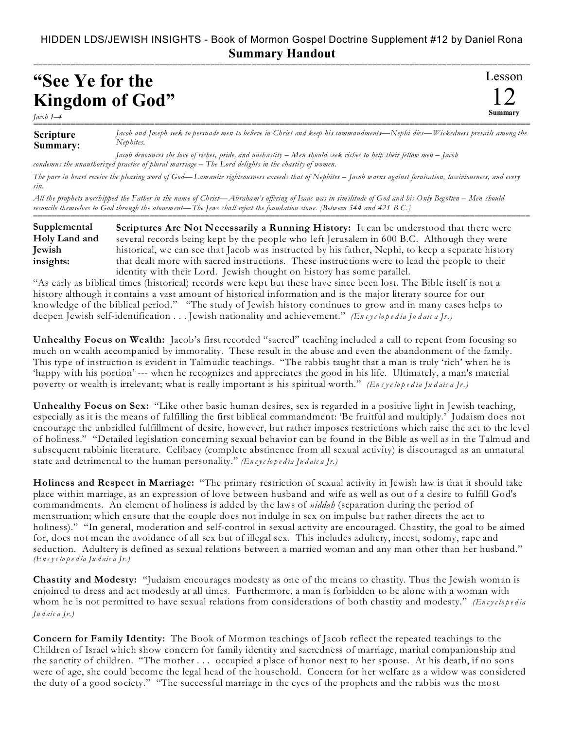## HIDDEN LDS/JEWISH INSIGHTS - Book of Mormon Gospel Doctrine Supplement #12 by Daniel Rona **Summary Handout**

===========================================================================================================

## **"See Ye for the Kingdom of God"**

*Jacob 1–4* 

**Scripture Summary:** =========================================================================================================== *Jacob and Joseph seek to persuade men to believe in Christ and keep his commandments—Nephi dies—Wickedness prevails among the Nephites.*

*Jacob denounces the love of riches, pride, and unchastity – Men should seek riches to help their fellow men – Jacob condemns the unauthorized practice of plural marriage – The Lord delights in the chastity of women.*

*The pure in heart receive the pleasing word of God—Lamanite righteousness exceeds that of Nephites – Jacob warns against fornication, lasciviousness, and every sin.*

*All the prophets worshipped the Father in the name of Christ—Abraham's offering of Isaac was in similitude of God and his Only Begotten – Men should reconcile themselves to God through the atonement—The Jews shall reject the foundation stone. [Between 544 and 421 B.C.]* ===========================================================================================================

**Scriptures Are Not Necessarily a Running History:** It can be understood that there were several records being kept by the people who left Jerusalem in 600 B.C. Although they were historical, we can see that Jacob was instructed by his father, Nephi, to keep a separate history that dealt more with sacred instructions. These instructions were to lead the people to their identity with their Lord. Jewish thought on history has some parallel. **Supplemental Holy Land and Jewish insights:**

"As early as biblical times (historical) records were kept but these have since been lost. The Bible itself is not a history although it contains a vast amount of historical information and is the major literary source for our knowledge of the biblical period." "The study of Jewish history continues to grow and in many cases helps to deepen Jewish self-identification . . . Jewish nationality and achievement." *(En c y c lo p e d ia Ju d aic a Jr.)*

**Unhealthy Focus on Wealth:** Jacob's first recorded "sacred" teaching included a call to repent from focusing so much on wealth accompanied by immorality. These result in the abuse and even the abandonment of the family. This type of instruction is evident in Talmudic teachings. "The rabbis taught that a man is truly 'rich' when he is 'happy with his portion' --- when he recognizes and appreciates the good in his life. Ultimately, a man's material poverty or wealth is irrelevant; what is really important is his spiritual worth." *(En c y c lo p e d ia Ju d aic a Jr.)*

**Unhealthy Focus on Sex:** "Like other basic human desires, sex is regarded in a positive light in Jewish teaching, especially as it is the means of fulfilling the first biblical commandment: 'Be fruitful and multiply.' Judaism does not encourage the unbridled fulfillment of desire, however, but rather imposes restrictions which raise the act to the level of holiness." "Detailed legislation concerning sexual behavior can be found in the Bible as well as in the Talmud and subsequent rabbinic literature. Celibacy (complete abstinence from all sexual activity) is discouraged as an unnatural state and detrimental to the human personality." *(En c yc lo p e d ia Ju d aic a Jr.)*

**Holiness and Respect in Marriage:** "The primary restriction of sexual activity in Jewish law is that it should take place within marriage, as an expression of love between husband and wife as well as out of a desire to fulfill God's commandments. An element of holiness is added by the laws of *niddah* (separation during the period of menstruation; which ensure that the couple does not indulge in sex on impulse but rather directs the act to holiness)." "In general, moderation and self-control in sexual activity are encouraged. Chastity, the goal to be aimed for, does not mean the avoidance of all sex but of illegal sex. This includes adultery, incest, sodomy, rape and seduction. Adultery is defined as sexual relations between a married woman and any man other than her husband." *(En c yc lo p e d ia Ju d aic a Jr.)*

**Chastity and Modesty:** "Judaism encourages modesty as one of the means to chastity. Thus the Jewish woman is enjoined to dress and act modestly at all times. Furthermore, a man is forbidden to be alone with a woman with whom he is not permitted to have sexual relations from considerations of both chastity and modesty." *(Encyclopedia Ju d aic a Jr.)*

**Concern for Family Identity:** The Book of Mormon teachings of Jacob reflect the repeated teachings to the Children of Israel which show concern for family identity and sacredness of marriage, marital companionship and the sanctity of children. "The mother . . . occupied a place of honor next to her spouse. At his death, if no sons were of age, she could become the legal head of the household. Concern for her welfare as a widow was considered the duty of a good society." "The successful marriage in the eyes of the prophets and the rabbis was the most